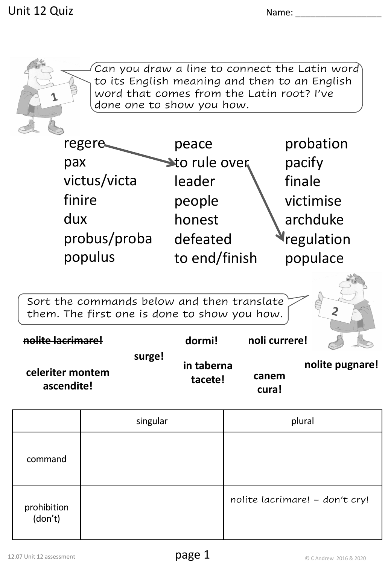